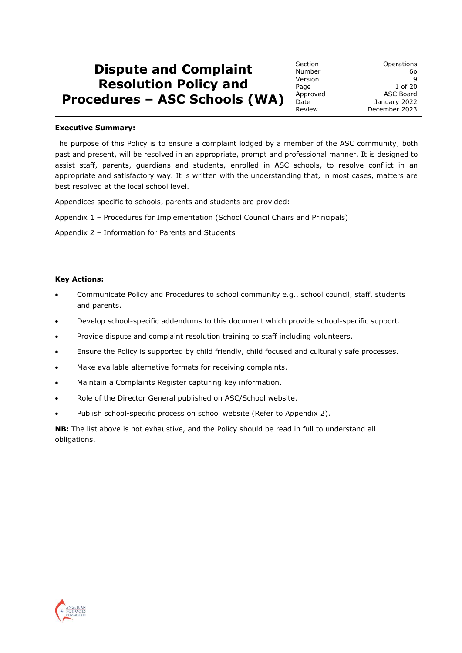# **Dispute and Complaint Resolution Policy and Procedures – ASC Schools (WA)**

#### **Executive Summary:**

The purpose of this Policy is to ensure a complaint lodged by a member of the ASC community, both past and present, will be resolved in an appropriate, prompt and professional manner. It is designed to assist staff, parents, guardians and students, enrolled in ASC schools, to resolve conflict in an appropriate and satisfactory way. It is written with the understanding that, in most cases, matters are best resolved at the local school level.

Appendices specific to schools, parents and students are provided:

Appendix 1 – Procedures for Implementation (School Council Chairs and Principals)

Appendix 2 – Information for Parents and Students

#### **Key Actions:**

- Communicate Policy and Procedures to school community e.g., school council, staff, students and parents.
- Develop school-specific addendums to this document which provide school-specific support.
- Provide dispute and complaint resolution training to staff including volunteers.
- Ensure the Policy is supported by child friendly, child focused and culturally safe processes.
- Make available alternative formats for receiving complaints.
- Maintain a Complaints Register capturing key information.
- Role of the Director General published on ASC/School website.
- Publish school-specific process on school website (Refer to Appendix 2).

**NB:** The list above is not exhaustive, and the Policy should be read in full to understand all obligations.

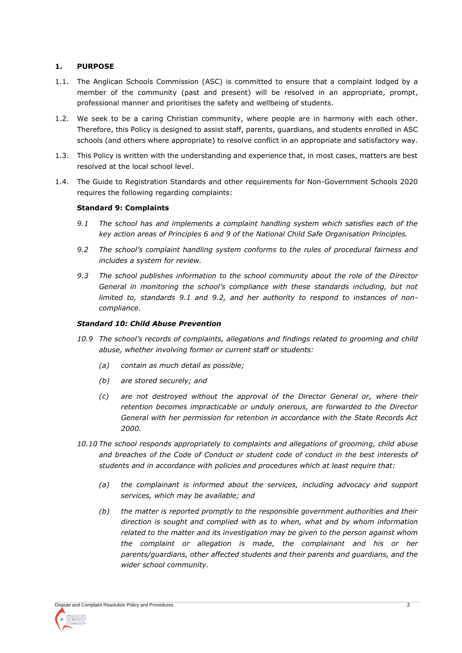# **1. PURPOSE**

- 1.1. The Anglican Schools Commission (ASC) is committed to ensure that a complaint lodged by a member of the community (past and present) will be resolved in an appropriate, prompt, professional manner and prioritises the safety and wellbeing of students.
- 1.2. We seek to be a caring Christian community, where people are in harmony with each other. Therefore, this Policy is designed to assist staff, parents, guardians, and students enrolled in ASC schools (and others where appropriate) to resolve conflict in an appropriate and satisfactory way.
- 1.3. This Policy is written with the understanding and experience that, in most cases, matters are best resolved at the local school level.
- 1.4. The Guide to Registration Standards and other requirements for Non-Government Schools 2020 requires the following regarding complaints:

# **Standard 9: Complaints**

- *9.1 The school has and implements a complaint handling system which satisfies each of the key action areas of Principles 6 and 9 of the National Child Safe Organisation Principles.*
- *9.2 The school's complaint handling system conforms to the rules of procedural fairness and includes a system for review.*
- *9.3 The school publishes information to the school community about the role of the Director General in monitoring the school's compliance with these standards including, but not limited to, standards 9.1 and 9.2, and her authority to respond to instances of noncompliance.*

## *Standard 10: Child Abuse Prevention*

- *10.9 The school's records of complaints, allegations and findings related to grooming and child abuse, whether involving former or current staff or students:*
	- *(a) contain as much detail as possible;*
	- *(b) are stored securely; and*
	- *(c) are not destroyed without the approval of the Director General or, where their retention becomes impracticable or unduly onerous, are forwarded to the Director General with her permission for retention in accordance with the State Records Act 2000.*
- *10.10 The school responds appropriately to complaints and allegations of grooming, child abuse and breaches of the Code of Conduct or student code of conduct in the best interests of students and in accordance with policies and procedures which at least require that:*
	- *(a) the complainant is informed about the services, including advocacy and support services, which may be available; and*
	- *(b) the matter is reported promptly to the responsible government authorities and their direction is sought and complied with as to when, what and by whom information related to the matter and its investigation may be given to the person against whom the complaint or allegation is made, the complainant and his or her parents/guardians, other affected students and their parents and guardians, and the wider school community.*

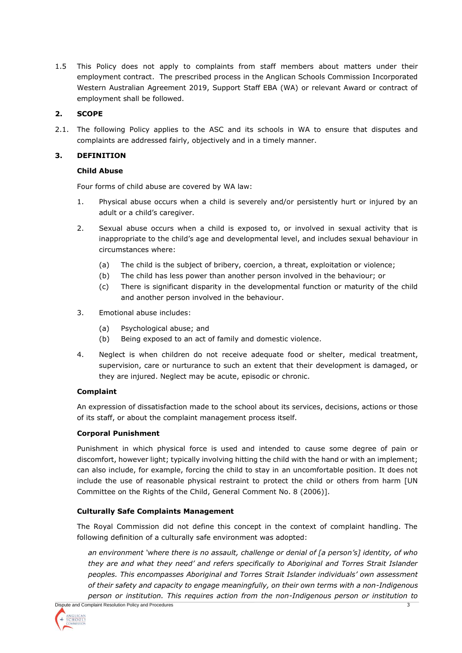1.5 This Policy does not apply to complaints from staff members about matters under their employment contract. The prescribed process in the Anglican Schools Commission Incorporated Western Australian Agreement 2019, Support Staff EBA (WA) or relevant Award or contract of employment shall be followed.

# **2. SCOPE**

2.1. The following Policy applies to the ASC and its schools in WA to ensure that disputes and complaints are addressed fairly, objectively and in a timely manner.

## **3. DEFINITION**

#### **Child Abuse**

Four forms of child abuse are covered by WA law:

- 1. Physical abuse occurs when a child is severely and/or persistently hurt or injured by an adult or a child's caregiver.
- 2. Sexual abuse occurs when a child is exposed to, or involved in sexual activity that is inappropriate to the child's age and developmental level, and includes sexual behaviour in circumstances where:
	- (a) The child is the subject of bribery, coercion, a threat, exploitation or violence;
	- (b) The child has less power than another person involved in the behaviour; or
	- (c) There is significant disparity in the developmental function or maturity of the child and another person involved in the behaviour.
- 3. Emotional abuse includes:
	- (a) Psychological abuse; and
	- (b) Being exposed to an act of family and domestic violence.
- 4. Neglect is when children do not receive adequate food or shelter, medical treatment, supervision, care or nurturance to such an extent that their development is damaged, or they are injured. Neglect may be acute, episodic or chronic.

# **Complaint**

An expression of dissatisfaction made to the school about its services, decisions, actions or those of its staff, or about the complaint management process itself.

#### **Corporal Punishment**

Punishment in which physical force is used and intended to cause some degree of pain or discomfort, however light; typically involving hitting the child with the hand or with an implement; can also include, for example, forcing the child to stay in an uncomfortable position. It does not include the use of reasonable physical restraint to protect the child or others from harm [UN Committee on the Rights of the Child, General Comment No. 8 (2006)].

# **Culturally Safe Complaints Management**

The Royal Commission did not define this concept in the context of complaint handling. The following definition of a culturally safe environment was adopted:

Dispute and Complaint Resolution Policy and Procedures 3 3 *an environment 'where there is no assault, challenge or denial of [a person's] identity, of who they are and what they need' and refers specifically to Aboriginal and Torres Strait Islander peoples. This encompasses Aboriginal and Torres Strait Islander individuals' own assessment of their safety and capacity to engage meaningfully, on their own terms with a non-Indigenous person or institution. This requires action from the non-Indigenous person or institution to* 

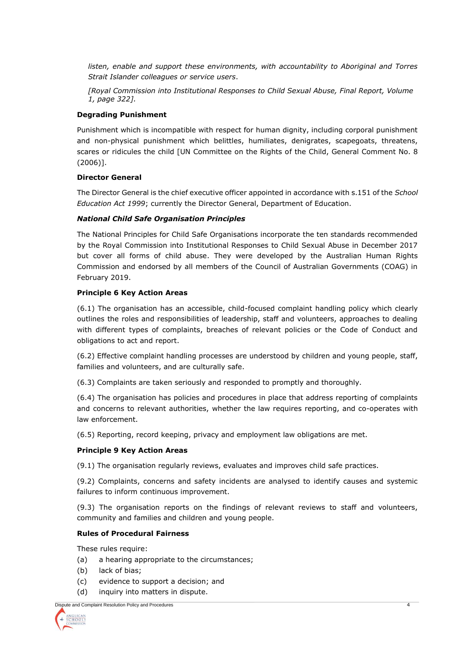listen, enable and support these environments, with accountability to Aboriginal and Torres *Strait Islander colleagues or service users*.

*[Royal Commission into Institutional Responses to Child Sexual Abuse, Final Report, Volume 1, page 322].*

#### **Degrading Punishment**

Punishment which is incompatible with respect for human dignity, including corporal punishment and non-physical punishment which belittles, humiliates, denigrates, scapegoats, threatens, scares or ridicules the child [UN Committee on the Rights of the Child, General Comment No. 8 (2006)].

#### **Director General**

The Director General is the chief executive officer appointed in accordance with s.151 of the *School Education Act 1999*; currently the Director General, Department of Education.

#### *National Child Safe Organisation Principles*

The National Principles for Child Safe Organisations incorporate the ten standards recommended by the Royal Commission into Institutional Responses to Child Sexual Abuse in December 2017 but cover all forms of child abuse. They were developed by the Australian Human Rights Commission and endorsed by all members of the Council of Australian Governments (COAG) in February 2019.

#### **Principle 6 Key Action Areas**

(6.1) The organisation has an accessible, child-focused complaint handling policy which clearly outlines the roles and responsibilities of leadership, staff and volunteers, approaches to dealing with different types of complaints, breaches of relevant policies or the Code of Conduct and obligations to act and report.

(6.2) Effective complaint handling processes are understood by children and young people, staff, families and volunteers, and are culturally safe.

(6.3) Complaints are taken seriously and responded to promptly and thoroughly.

(6.4) The organisation has policies and procedures in place that address reporting of complaints and concerns to relevant authorities, whether the law requires reporting, and co-operates with law enforcement.

(6.5) Reporting, record keeping, privacy and employment law obligations are met.

#### **Principle 9 Key Action Areas**

(9.1) The organisation regularly reviews, evaluates and improves child safe practices.

(9.2) Complaints, concerns and safety incidents are analysed to identify causes and systemic failures to inform continuous improvement.

(9.3) The organisation reports on the findings of relevant reviews to staff and volunteers, community and families and children and young people.

#### **Rules of Procedural Fairness**

These rules require:

- (a) a hearing appropriate to the circumstances;
- (b) lack of bias;
- (c) evidence to support a decision; and
- (d) inquiry into matters in dispute.

Dispute and Complaint Resolution Policy and Procedures 4

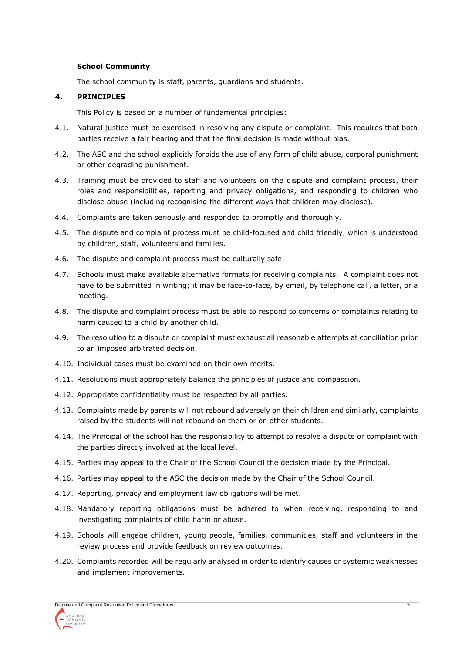#### **School Community**

The school community is staff, parents, guardians and students.

#### **4. PRINCIPLES**

This Policy is based on a number of fundamental principles:

- 4.1. Natural justice must be exercised in resolving any dispute or complaint. This requires that both parties receive a fair hearing and that the final decision is made without bias.
- 4.2. The ASC and the school explicitly forbids the use of any form of child abuse, corporal punishment or other degrading punishment.
- 4.3. Training must be provided to staff and volunteers on the dispute and complaint process, their roles and responsibilities, reporting and privacy obligations, and responding to children who disclose abuse (including recognising the different ways that children may disclose).
- 4.4. Complaints are taken seriously and responded to promptly and thoroughly.
- 4.5. The dispute and complaint process must be child-focused and child friendly, which is understood by children, staff, volunteers and families.
- 4.6. The dispute and complaint process must be culturally safe.
- 4.7. Schools must make available alternative formats for receiving complaints. A complaint does not have to be submitted in writing; it may be face-to-face, by email, by telephone call, a letter, or a meeting.
- 4.8. The dispute and complaint process must be able to respond to concerns or complaints relating to harm caused to a child by another child.
- 4.9. The resolution to a dispute or complaint must exhaust all reasonable attempts at conciliation prior to an imposed arbitrated decision.
- 4.10. Individual cases must be examined on their own merits.
- 4.11. Resolutions must appropriately balance the principles of justice and compassion.
- 4.12. Appropriate confidentiality must be respected by all parties.
- 4.13. Complaints made by parents will not rebound adversely on their children and similarly, complaints raised by the students will not rebound on them or on other students.
- 4.14. The Principal of the school has the responsibility to attempt to resolve a dispute or complaint with the parties directly involved at the local level.
- 4.15. Parties may appeal to the Chair of the School Council the decision made by the Principal.
- 4.16. Parties may appeal to the ASC the decision made by the Chair of the School Council.
- 4.17. Reporting, privacy and employment law obligations will be met.
- 4.18. Mandatory reporting obligations must be adhered to when receiving, responding to and investigating complaints of child harm or abuse.
- 4.19. Schools will engage children, young people, families, communities, staff and volunteers in the review process and provide feedback on review outcomes.
- 4.20. Complaints recorded will be regularly analysed in order to identify causes or systemic weaknesses and implement improvements.

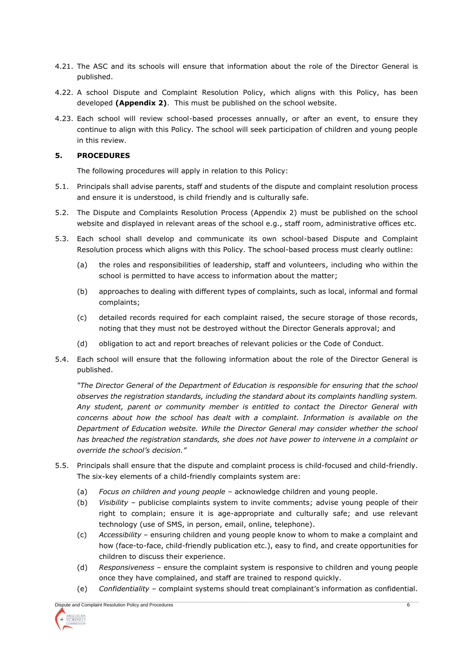- 4.21. The ASC and its schools will ensure that information about the role of the Director General is published.
- 4.22. A school Dispute and Complaint Resolution Policy, which aligns with this Policy, has been developed **(Appendix 2)**. This must be published on the school website.
- 4.23. Each school will review school-based processes annually, or after an event, to ensure they continue to align with this Policy. The school will seek participation of children and young people in this review.

## **5. PROCEDURES**

The following procedures will apply in relation to this Policy:

- 5.1. Principals shall advise parents, staff and students of the dispute and complaint resolution process and ensure it is understood, is child friendly and is culturally safe.
- 5.2. The Dispute and Complaints Resolution Process (Appendix 2) must be published on the school website and displayed in relevant areas of the school e.g., staff room, administrative offices etc.
- 5.3. Each school shall develop and communicate its own school-based Dispute and Complaint Resolution process which aligns with this Policy. The school-based process must clearly outline:
	- (a) the roles and responsibilities of leadership, staff and volunteers, including who within the school is permitted to have access to information about the matter;
	- (b) approaches to dealing with different types of complaints, such as local, informal and formal complaints;
	- (c) detailed records required for each complaint raised, the secure storage of those records, noting that they must not be destroyed without the Director Generals approval; and
	- (d) obligation to act and report breaches of relevant policies or the Code of Conduct.
- 5.4. Each school will ensure that the following information about the role of the Director General is published.

*"The Director General of the Department of Education is responsible for ensuring that the school observes the registration standards, including the standard about its complaints handling system. Any student, parent or community member is entitled to contact the Director General with concerns about how the school has dealt with a complaint. Information is available on the Department of Education website. While the Director General may consider whether the school has breached the registration standards, she does not have power to intervene in a complaint or override the school's decision."*

- 5.5. Principals shall ensure that the dispute and complaint process is child-focused and child-friendly. The six-key elements of a child-friendly complaints system are:
	- (a) *Focus on children and young people* acknowledge children and young people.
	- (b) *Visibility* publicise complaints system to invite comments; advise young people of their right to complain; ensure it is age-appropriate and culturally safe; and use relevant technology (use of SMS, in person, email, online, telephone).
	- (c) *Accessibility* ensuring children and young people know to whom to make a complaint and how (face-to-face, child-friendly publication etc.), easy to find, and create opportunities for children to discuss their experience.
	- (d) *Responsiveness* ensure the complaint system is responsive to children and young people once they have complained, and staff are trained to respond quickly.
	- (e) *Confidentiality* complaint systems should treat complainant's information as confidential.

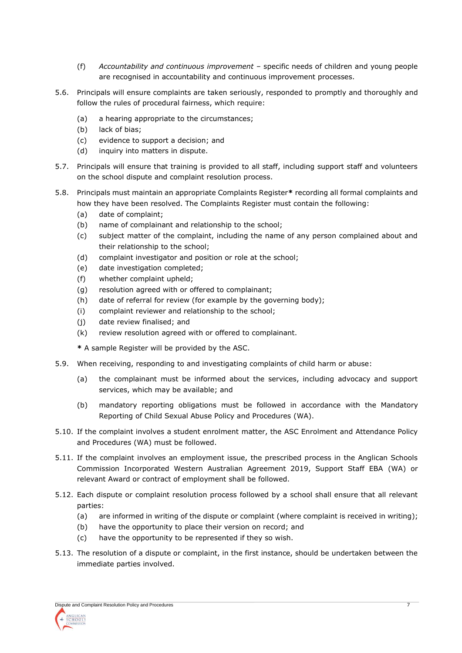- (f) *Accountability and continuous improvement* specific needs of children and young people are recognised in accountability and continuous improvement processes.
- 5.6. Principals will ensure complaints are taken seriously, responded to promptly and thoroughly and follow the rules of procedural fairness, which require:
	- (a) a hearing appropriate to the circumstances;
	- (b) lack of bias;
	- (c) evidence to support a decision; and
	- (d) inquiry into matters in dispute.
- 5.7. Principals will ensure that training is provided to all staff, including support staff and volunteers on the school dispute and complaint resolution process.
- 5.8. Principals must maintain an appropriate Complaints Register**\*** recording all formal complaints and how they have been resolved. The Complaints Register must contain the following:
	- (a) date of complaint;
	- (b) name of complainant and relationship to the school;
	- (c) subject matter of the complaint, including the name of any person complained about and their relationship to the school;
	- (d) complaint investigator and position or role at the school;
	- (e) date investigation completed;
	- (f) whether complaint upheld;
	- (g) resolution agreed with or offered to complainant;
	- (h) date of referral for review (for example by the governing body);
	- (i) complaint reviewer and relationship to the school;
	- (j) date review finalised; and
	- (k) review resolution agreed with or offered to complainant.

**\*** A sample Register will be provided by the ASC.

- 5.9. When receiving, responding to and investigating complaints of child harm or abuse:
	- (a) the complainant must be informed about the services, including advocacy and support services, which may be available; and
	- (b) mandatory reporting obligations must be followed in accordance with the Mandatory Reporting of Child Sexual Abuse Policy and Procedures (WA).
- 5.10. If the complaint involves a student enrolment matter, the ASC Enrolment and Attendance Policy and Procedures (WA) must be followed.
- 5.11. If the complaint involves an employment issue, the prescribed process in the Anglican Schools Commission Incorporated Western Australian Agreement 2019, Support Staff EBA (WA) or relevant Award or contract of employment shall be followed.
- 5.12. Each dispute or complaint resolution process followed by a school shall ensure that all relevant parties:
	- (a) are informed in writing of the dispute or complaint (where complaint is received in writing);
	- (b) have the opportunity to place their version on record; and
	- (c) have the opportunity to be represented if they so wish.
- 5.13. The resolution of a dispute or complaint, in the first instance, should be undertaken between the immediate parties involved.

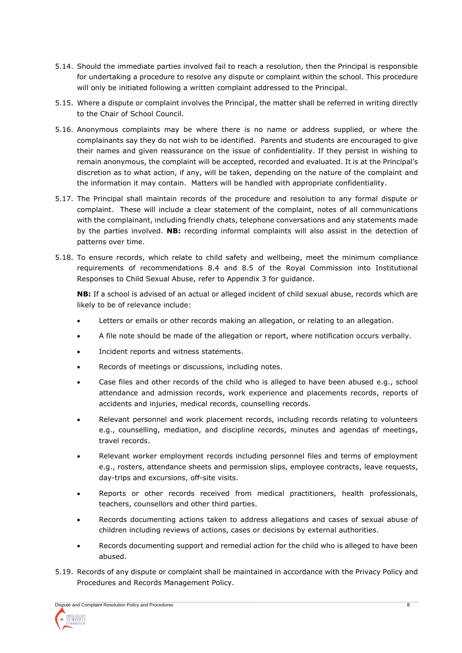- 5.14. Should the immediate parties involved fail to reach a resolution, then the Principal is responsible for undertaking a procedure to resolve any dispute or complaint within the school. This procedure will only be initiated following a written complaint addressed to the Principal.
- 5.15. Where a dispute or complaint involves the Principal, the matter shall be referred in writing directly to the Chair of School Council.
- 5.16. Anonymous complaints may be where there is no name or address supplied, or where the complainants say they do not wish to be identified. Parents and students are encouraged to give their names and given reassurance on the issue of confidentiality. If they persist in wishing to remain anonymous, the complaint will be accepted, recorded and evaluated. It is at the Principal's discretion as to what action, if any, will be taken, depending on the nature of the complaint and the information it may contain. Matters will be handled with appropriate confidentiality.
- 5.17. The Principal shall maintain records of the procedure and resolution to any formal dispute or complaint. These will include a clear statement of the complaint, notes of all communications with the complainant, including friendly chats, telephone conversations and any statements made by the parties involved. **NB:** recording informal complaints will also assist in the detection of patterns over time.
- 5.18. To ensure records, which relate to child safety and wellbeing, meet the minimum compliance requirements of recommendations 8.4 and 8.5 of the Royal Commission into Institutional Responses to Child Sexual Abuse, refer to Appendix 3 for guidance.

**NB:** If a school is advised of an actual or alleged incident of child sexual abuse, records which are likely to be of relevance include:

- Letters or emails or other records making an allegation, or relating to an allegation.
- A file note should be made of the allegation or report, where notification occurs verbally.
- Incident reports and witness statements.
- Records of meetings or discussions, including notes.
- Case files and other records of the child who is alleged to have been abused e.g., school attendance and admission records, work experience and placements records, reports of accidents and injuries, medical records, counselling records.
- Relevant personnel and work placement records, including records relating to volunteers e.g., counselling, mediation, and discipline records, minutes and agendas of meetings, travel records.
- Relevant worker employment records including personnel files and terms of employment e.g., rosters, attendance sheets and permission slips, employee contracts, leave requests, day-trips and excursions, off-site visits.
- Reports or other records received from medical practitioners, health professionals, teachers, counsellors and other third parties.
- Records documenting actions taken to address allegations and cases of sexual abuse of children including reviews of actions, cases or decisions by external authorities.
- Records documenting support and remedial action for the child who is alleged to have been abused.
- 5.19. Records of any dispute or complaint shall be maintained in accordance with the Privacy Policy and Procedures and Records Management Policy.

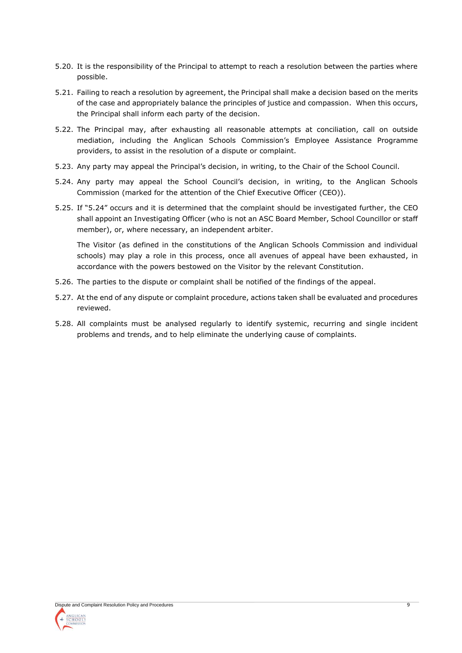- 5.20. It is the responsibility of the Principal to attempt to reach a resolution between the parties where possible.
- 5.21. Failing to reach a resolution by agreement, the Principal shall make a decision based on the merits of the case and appropriately balance the principles of justice and compassion. When this occurs, the Principal shall inform each party of the decision.
- 5.22. The Principal may, after exhausting all reasonable attempts at conciliation, call on outside mediation, including the Anglican Schools Commission's Employee Assistance Programme providers, to assist in the resolution of a dispute or complaint.
- 5.23. Any party may appeal the Principal's decision, in writing, to the Chair of the School Council.
- 5.24. Any party may appeal the School Council's decision, in writing, to the Anglican Schools Commission (marked for the attention of the Chief Executive Officer (CEO)).
- 5.25. If "5.24" occurs and it is determined that the complaint should be investigated further, the CEO shall appoint an Investigating Officer (who is not an ASC Board Member, School Councillor or staff member), or, where necessary, an independent arbiter.

The Visitor (as defined in the constitutions of the Anglican Schools Commission and individual schools) may play a role in this process, once all avenues of appeal have been exhausted, in accordance with the powers bestowed on the Visitor by the relevant Constitution.

- 5.26. The parties to the dispute or complaint shall be notified of the findings of the appeal.
- 5.27. At the end of any dispute or complaint procedure, actions taken shall be evaluated and procedures reviewed.
- 5.28. All complaints must be analysed regularly to identify systemic, recurring and single incident problems and trends, and to help eliminate the underlying cause of complaints.

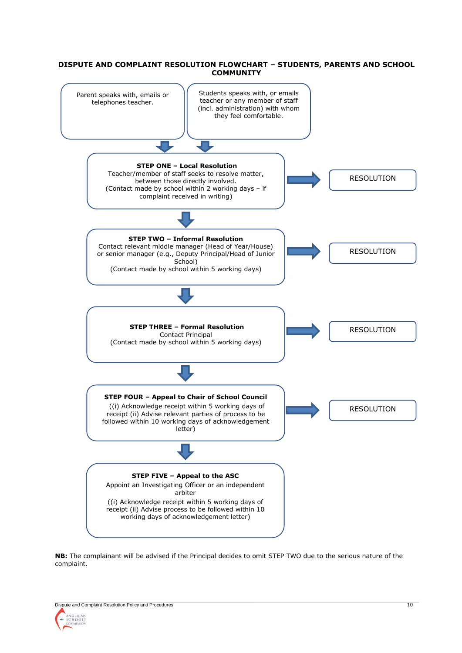#### **DISPUTE AND COMPLAINT RESOLUTION FLOWCHART – STUDENTS, PARENTS AND SCHOOL COMMUNITY**



**NB:** The complainant will be advised if the Principal decides to omit STEP TWO due to the serious nature of the complaint.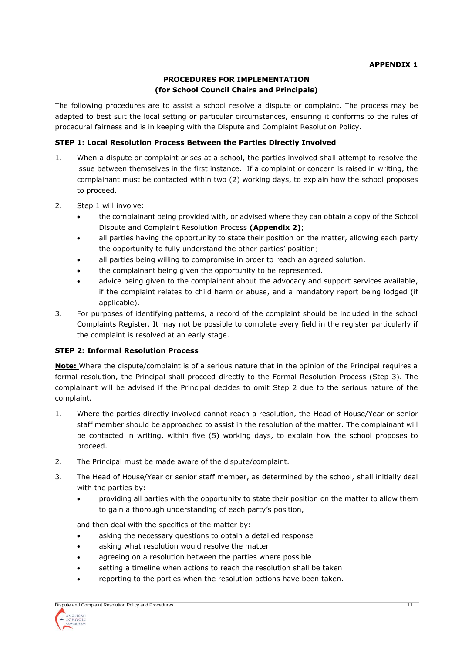# **PROCEDURES FOR IMPLEMENTATION (for School Council Chairs and Principals)**

The following procedures are to assist a school resolve a dispute or complaint. The process may be adapted to best suit the local setting or particular circumstances, ensuring it conforms to the rules of procedural fairness and is in keeping with the Dispute and Complaint Resolution Policy.

# **STEP 1: Local Resolution Process Between the Parties Directly Involved**

- 1. When a dispute or complaint arises at a school, the parties involved shall attempt to resolve the issue between themselves in the first instance. If a complaint or concern is raised in writing, the complainant must be contacted within two (2) working days, to explain how the school proposes to proceed.
- 2. Step 1 will involve:
	- the complainant being provided with, or advised where they can obtain a copy of the School Dispute and Complaint Resolution Process **(Appendix 2)**;
	- all parties having the opportunity to state their position on the matter, allowing each party the opportunity to fully understand the other parties' position;
	- all parties being willing to compromise in order to reach an agreed solution.
	- the complainant being given the opportunity to be represented.
	- advice being given to the complainant about the advocacy and support services available, if the complaint relates to child harm or abuse, and a mandatory report being lodged (if applicable).
- 3. For purposes of identifying patterns, a record of the complaint should be included in the school Complaints Register. It may not be possible to complete every field in the register particularly if the complaint is resolved at an early stage.

#### **STEP 2: Informal Resolution Process**

**Note:** Where the dispute/complaint is of a serious nature that in the opinion of the Principal requires a formal resolution, the Principal shall proceed directly to the Formal Resolution Process (Step 3). The complainant will be advised if the Principal decides to omit Step 2 due to the serious nature of the complaint.

- 1. Where the parties directly involved cannot reach a resolution, the Head of House/Year or senior staff member should be approached to assist in the resolution of the matter. The complainant will be contacted in writing, within five (5) working days, to explain how the school proposes to proceed.
- 2. The Principal must be made aware of the dispute/complaint.
- 3. The Head of House/Year or senior staff member, as determined by the school, shall initially deal with the parties by:
	- providing all parties with the opportunity to state their position on the matter to allow them to gain a thorough understanding of each party's position,

and then deal with the specifics of the matter by:

- asking the necessary questions to obtain a detailed response
- asking what resolution would resolve the matter
- agreeing on a resolution between the parties where possible
- setting a timeline when actions to reach the resolution shall be taken
- reporting to the parties when the resolution actions have been taken.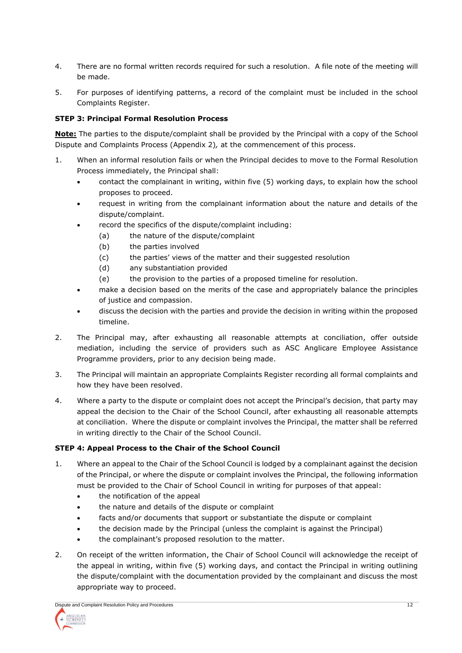- 4. There are no formal written records required for such a resolution. A file note of the meeting will be made.
- 5. For purposes of identifying patterns, a record of the complaint must be included in the school Complaints Register.

## **STEP 3: Principal Formal Resolution Process**

**Note:** The parties to the dispute/complaint shall be provided by the Principal with a copy of the School Dispute and Complaints Process (Appendix 2)*,* at the commencement of this process.

- 1. When an informal resolution fails or when the Principal decides to move to the Formal Resolution Process immediately, the Principal shall:
	- contact the complainant in writing, within five (5) working days, to explain how the school proposes to proceed.
	- request in writing from the complainant information about the nature and details of the dispute/complaint.
	- record the specifics of the dispute/complaint including:
		- (a) the nature of the dispute/complaint
		- (b) the parties involved
		- (c) the parties' views of the matter and their suggested resolution
		- (d) any substantiation provided
		- (e) the provision to the parties of a proposed timeline for resolution.
	- make a decision based on the merits of the case and appropriately balance the principles of justice and compassion.
	- discuss the decision with the parties and provide the decision in writing within the proposed timeline.
- 2. The Principal may, after exhausting all reasonable attempts at conciliation, offer outside mediation, including the service of providers such as ASC Anglicare Employee Assistance Programme providers, prior to any decision being made.
- 3. The Principal will maintain an appropriate Complaints Register recording all formal complaints and how they have been resolved.
- 4. Where a party to the dispute or complaint does not accept the Principal's decision, that party may appeal the decision to the Chair of the School Council, after exhausting all reasonable attempts at conciliation. Where the dispute or complaint involves the Principal, the matter shall be referred in writing directly to the Chair of the School Council.

# **STEP 4: Appeal Process to the Chair of the School Council**

- 1. Where an appeal to the Chair of the School Council is lodged by a complainant against the decision of the Principal, or where the dispute or complaint involves the Principal, the following information must be provided to the Chair of School Council in writing for purposes of that appeal:
	- the notification of the appeal
	- the nature and details of the dispute or complaint
	- facts and/or documents that support or substantiate the dispute or complaint
	- the decision made by the Principal (unless the complaint is against the Principal)
	- the complainant's proposed resolution to the matter.
- 2. On receipt of the written information, the Chair of School Council will acknowledge the receipt of the appeal in writing, within five (5) working days, and contact the Principal in writing outlining the dispute/complaint with the documentation provided by the complainant and discuss the most appropriate way to proceed.

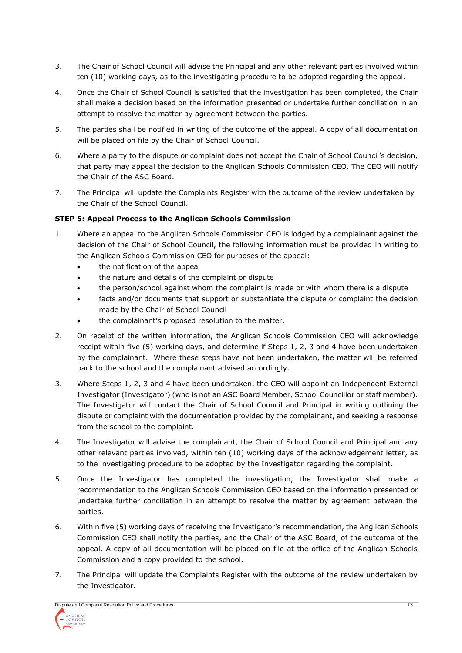- 3. The Chair of School Council will advise the Principal and any other relevant parties involved within ten (10) working days, as to the investigating procedure to be adopted regarding the appeal.
- 4. Once the Chair of School Council is satisfied that the investigation has been completed, the Chair shall make a decision based on the information presented or undertake further conciliation in an attempt to resolve the matter by agreement between the parties.
- 5. The parties shall be notified in writing of the outcome of the appeal. A copy of all documentation will be placed on file by the Chair of School Council.
- 6. Where a party to the dispute or complaint does not accept the Chair of School Council's decision, that party may appeal the decision to the Anglican Schools Commission CEO. The CEO will notify the Chair of the ASC Board.
- 7. The Principal will update the Complaints Register with the outcome of the review undertaken by the Chair of the School Council.

# **STEP 5: Appeal Process to the Anglican Schools Commission**

- 1. Where an appeal to the Anglican Schools Commission CEO is lodged by a complainant against the decision of the Chair of School Council, the following information must be provided in writing to the Anglican Schools Commission CEO for purposes of the appeal:
	- the notification of the appeal
	- the nature and details of the complaint or dispute
	- the person/school against whom the complaint is made or with whom there is a dispute
	- facts and/or documents that support or substantiate the dispute or complaint the decision made by the Chair of School Council
	- the complainant's proposed resolution to the matter.
- 2. On receipt of the written information, the Anglican Schools Commission CEO will acknowledge receipt within five (5) working days, and determine if Steps 1, 2, 3 and 4 have been undertaken by the complainant. Where these steps have not been undertaken, the matter will be referred back to the school and the complainant advised accordingly.
- 3. Where Steps 1, 2, 3 and 4 have been undertaken, the CEO will appoint an Independent External Investigator (Investigator) (who is not an ASC Board Member, School Councillor or staff member). The Investigator will contact the Chair of School Council and Principal in writing outlining the dispute or complaint with the documentation provided by the complainant, and seeking a response from the school to the complaint.
- 4. The Investigator will advise the complainant, the Chair of School Council and Principal and any other relevant parties involved, within ten (10) working days of the acknowledgement letter, as to the investigating procedure to be adopted by the Investigator regarding the complaint.
- 5. Once the Investigator has completed the investigation, the Investigator shall make a recommendation to the Anglican Schools Commission CEO based on the information presented or undertake further conciliation in an attempt to resolve the matter by agreement between the parties.
- 6. Within five (5) working days of receiving the Investigator's recommendation, the Anglican Schools Commission CEO shall notify the parties, and the Chair of the ASC Board, of the outcome of the appeal. A copy of all documentation will be placed on file at the office of the Anglican Schools Commission and a copy provided to the school.
- 7. The Principal will update the Complaints Register with the outcome of the review undertaken by the Investigator.

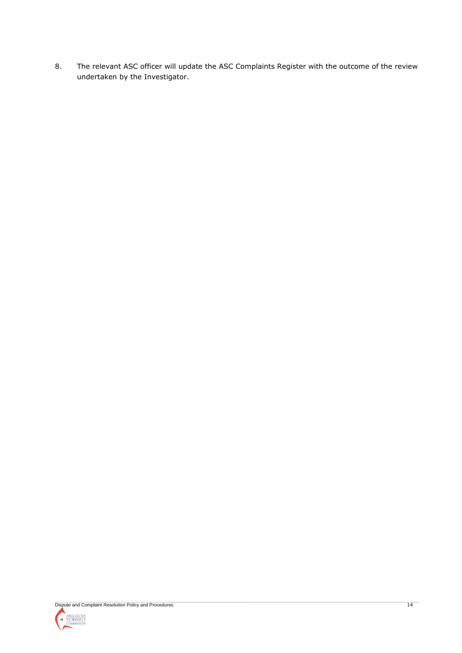8. The relevant ASC officer will update the ASC Complaints Register with the outcome of the review undertaken by the Investigator.

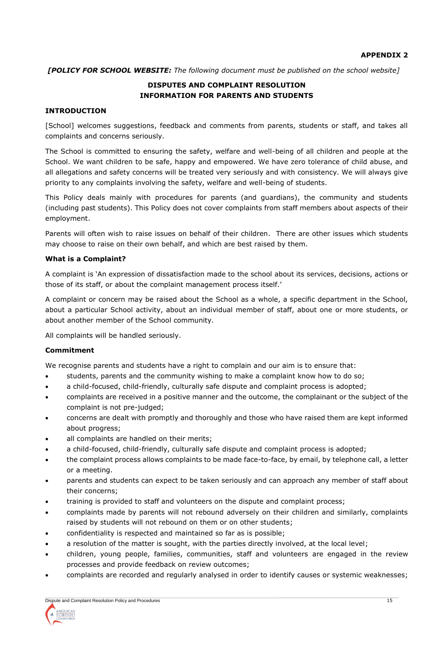*[POLICY FOR SCHOOL WEBSITE: The following document must be published on the school website]*

# **DISPUTES AND COMPLAINT RESOLUTION INFORMATION FOR PARENTS AND STUDENTS**

## **INTRODUCTION**

[School] welcomes suggestions, feedback and comments from parents, students or staff, and takes all complaints and concerns seriously.

The School is committed to ensuring the safety, welfare and well-being of all children and people at the School. We want children to be safe, happy and empowered. We have zero tolerance of child abuse, and all allegations and safety concerns will be treated very seriously and with consistency. We will always give priority to any complaints involving the safety, welfare and well-being of students.

This Policy deals mainly with procedures for parents (and guardians), the community and students (including past students). This Policy does not cover complaints from staff members about aspects of their employment.

Parents will often wish to raise issues on behalf of their children. There are other issues which students may choose to raise on their own behalf, and which are best raised by them.

#### **What is a Complaint?**

A complaint is 'An expression of dissatisfaction made to the school about its services, decisions, actions or those of its staff, or about the complaint management process itself.'

A complaint or concern may be raised about the School as a whole, a specific department in the School, about a particular School activity, about an individual member of staff, about one or more students, or about another member of the School community.

All complaints will be handled seriously.

#### **Commitment**

We recognise parents and students have a right to complain and our aim is to ensure that:

- students, parents and the community wishing to make a complaint know how to do so;
- a child-focused, child-friendly, culturally safe dispute and complaint process is adopted;
- complaints are received in a positive manner and the outcome, the complainant or the subject of the complaint is not pre-judged;
- concerns are dealt with promptly and thoroughly and those who have raised them are kept informed about progress;
- all complaints are handled on their merits;
- a child-focused, child-friendly, culturally safe dispute and complaint process is adopted;
- the complaint process allows complaints to be made face-to-face, by email, by telephone call, a letter or a meeting.
- parents and students can expect to be taken seriously and can approach any member of staff about their concerns;
- training is provided to staff and volunteers on the dispute and complaint process;
- complaints made by parents will not rebound adversely on their children and similarly, complaints raised by students will not rebound on them or on other students;
- confidentiality is respected and maintained so far as is possible;
- a resolution of the matter is sought, with the parties directly involved, at the local level;
- children, young people, families, communities, staff and volunteers are engaged in the review processes and provide feedback on review outcomes;
- complaints are recorded and regularly analysed in order to identify causes or systemic weaknesses;

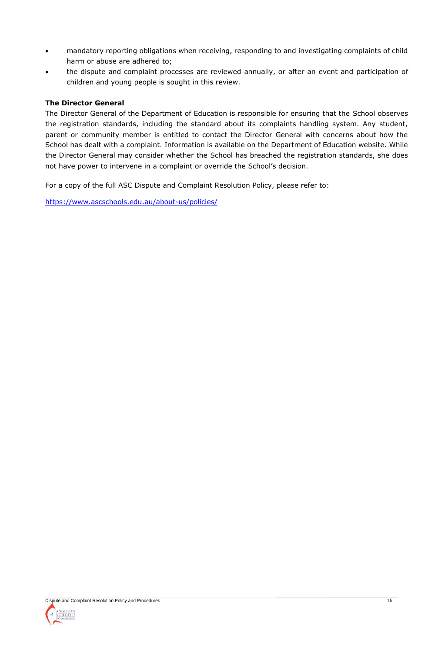- mandatory reporting obligations when receiving, responding to and investigating complaints of child harm or abuse are adhered to;
- the dispute and complaint processes are reviewed annually, or after an event and participation of children and young people is sought in this review.

# **The Director General**

The Director General of the Department of Education is responsible for ensuring that the School observes the registration standards, including the standard about its complaints handling system. Any student, parent or community member is entitled to contact the Director General with concerns about how the School has dealt with a complaint. Information is available on the Department of Education website. While the Director General may consider whether the School has breached the registration standards, she does not have power to intervene in a complaint or override the School's decision.

For a copy of the full ASC Dispute and Complaint Resolution Policy, please refer to:

<https://www.ascschools.edu.au/about-us/policies/>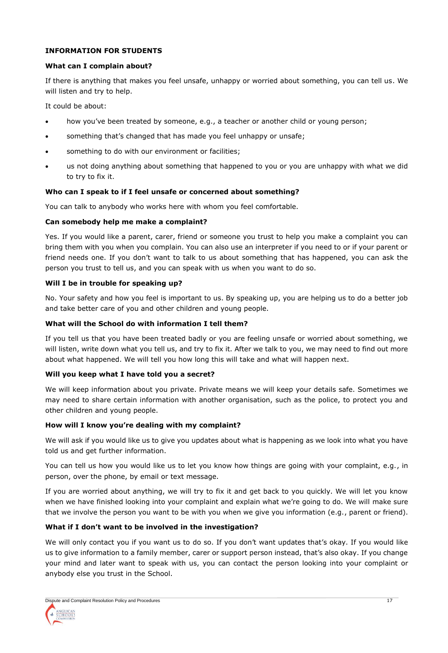# **INFORMATION FOR STUDENTS**

## **What can I complain about?**

If there is anything that makes you feel unsafe, unhappy or worried about something, you can tell us. We will listen and try to help.

It could be about:

- how you've been treated by someone, e.g., a teacher or another child or young person;
- something that's changed that has made you feel unhappy or unsafe;
- something to do with our environment or facilities;
- us not doing anything about something that happened to you or you are unhappy with what we did to try to fix it.

## **Who can I speak to if I feel unsafe or concerned about something?**

You can talk to anybody who works here with whom you feel comfortable.

#### **Can somebody help me make a complaint?**

Yes. If you would like a parent, carer, friend or someone you trust to help you make a complaint you can bring them with you when you complain. You can also use an interpreter if you need to or if your parent or friend needs one. If you don't want to talk to us about something that has happened, you can ask the person you trust to tell us, and you can speak with us when you want to do so.

#### **Will I be in trouble for speaking up?**

No. Your safety and how you feel is important to us. By speaking up, you are helping us to do a better job and take better care of you and other children and young people.

## **What will the School do with information I tell them?**

If you tell us that you have been treated badly or you are feeling unsafe or worried about something, we will listen, write down what you tell us, and try to fix it. After we talk to you, we may need to find out more about what happened. We will tell you how long this will take and what will happen next.

## **Will you keep what I have told you a secret?**

We will keep information about you private. Private means we will keep your details safe. Sometimes we may need to share certain information with another organisation, such as the police, to protect you and other children and young people.

## **How will I know you're dealing with my complaint?**

We will ask if you would like us to give you updates about what is happening as we look into what you have told us and get further information.

You can tell us how you would like us to let you know how things are going with your complaint, e.g., in person, over the phone, by email or text message.

If you are worried about anything, we will try to fix it and get back to you quickly. We will let you know when we have finished looking into your complaint and explain what we're going to do. We will make sure that we involve the person you want to be with you when we give you information (e.g., parent or friend).

## **What if I don't want to be involved in the investigation?**

We will only contact you if you want us to do so. If you don't want updates that's okay. If you would like us to give information to a family member, carer or support person instead, that's also okay. If you change your mind and later want to speak with us, you can contact the person looking into your complaint or anybody else you trust in the School.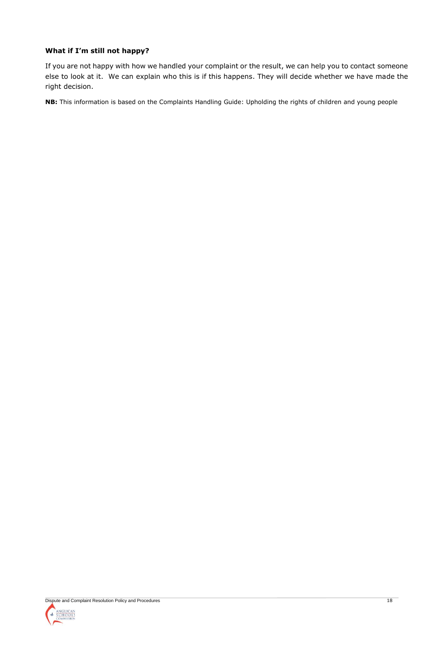# **What if I'm still not happy?**

If you are not happy with how we handled your complaint or the result, we can help you to contact someone else to look at it. We can explain who this is if this happens. They will decide whether we have made the right decision.

**NB:** This information is based on the Complaints Handling Guide: Upholding the rights of children and young people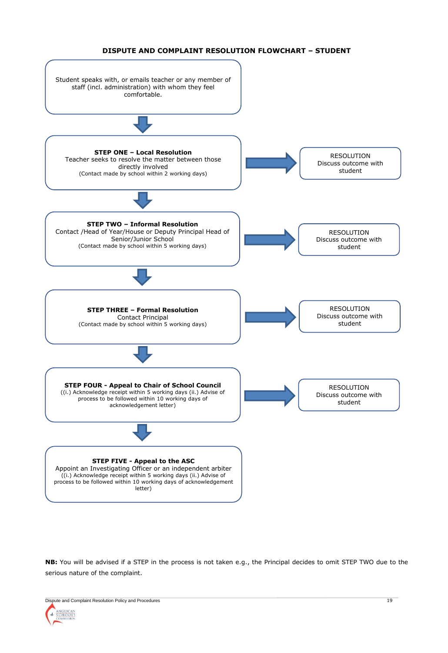#### **DISPUTE AND COMPLAINT RESOLUTION FLOWCHART – STUDENT**



**NB:** You will be advised if a STEP in the process is not taken e.g., the Principal decides to omit STEP TWO due to the serious nature of the complaint.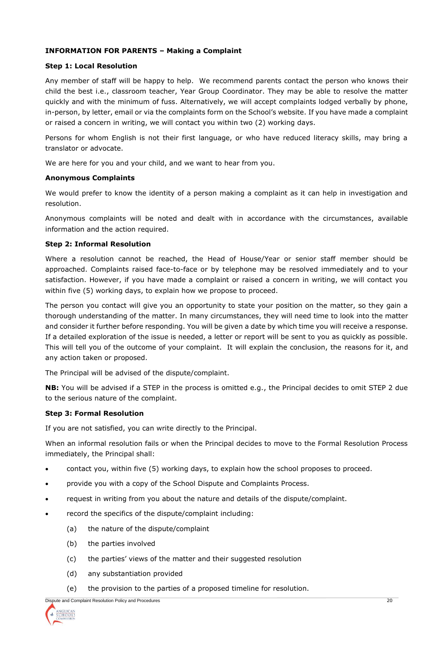## **INFORMATION FOR PARENTS – Making a Complaint**

#### **Step 1: Local Resolution**

Any member of staff will be happy to help. We recommend parents contact the person who knows their child the best i.e., classroom teacher, Year Group Coordinator. They may be able to resolve the matter quickly and with the minimum of fuss. Alternatively, we will accept complaints lodged verbally by phone, in-person, by letter, email or via the complaints form on the School's website. If you have made a complaint or raised a concern in writing, we will contact you within two (2) working days.

Persons for whom English is not their first language, or who have reduced literacy skills, may bring a translator or advocate.

We are here for you and your child, and we want to hear from you.

#### **Anonymous Complaints**

We would prefer to know the identity of a person making a complaint as it can help in investigation and resolution.

Anonymous complaints will be noted and dealt with in accordance with the circumstances, available information and the action required.

#### **Step 2: Informal Resolution**

Where a resolution cannot be reached, the Head of House/Year or senior staff member should be approached. Complaints raised face-to-face or by telephone may be resolved immediately and to your satisfaction. However, if you have made a complaint or raised a concern in writing, we will contact you within five (5) working days, to explain how we propose to proceed.

The person you contact will give you an opportunity to state your position on the matter, so they gain a thorough understanding of the matter. In many circumstances, they will need time to look into the matter and consider it further before responding. You will be given a date by which time you will receive a response. If a detailed exploration of the issue is needed, a letter or report will be sent to you as quickly as possible. This will tell you of the outcome of your complaint. It will explain the conclusion, the reasons for it, and any action taken or proposed.

The Principal will be advised of the dispute/complaint.

**NB:** You will be advised if a STEP in the process is omitted e.g., the Principal decides to omit STEP 2 due to the serious nature of the complaint.

## **Step 3: Formal Resolution**

If you are not satisfied, you can write directly to the Principal.

When an informal resolution fails or when the Principal decides to move to the Formal Resolution Process immediately, the Principal shall:

- contact you, within five (5) working days, to explain how the school proposes to proceed.
- provide you with a copy of the School Dispute and Complaints Process.
- request in writing from you about the nature and details of the dispute/complaint.
- record the specifics of the dispute/complaint including:
	- (a) the nature of the dispute/complaint
	- (b) the parties involved
	- (c) the parties' views of the matter and their suggested resolution
	- (d) any substantiation provided
	- (e) the provision to the parties of a proposed timeline for resolution.

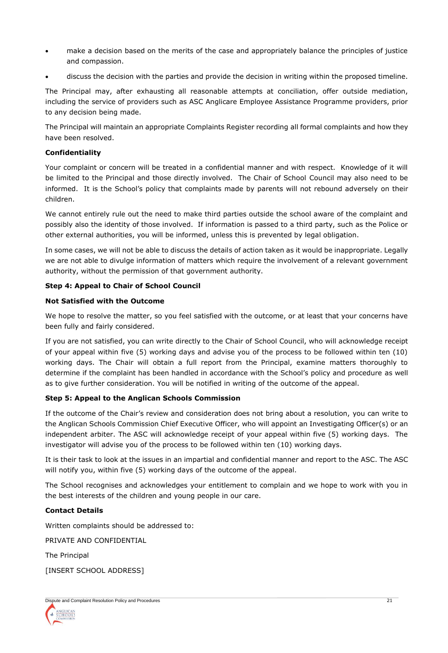- make a decision based on the merits of the case and appropriately balance the principles of justice and compassion.
- discuss the decision with the parties and provide the decision in writing within the proposed timeline.

The Principal may, after exhausting all reasonable attempts at conciliation, offer outside mediation, including the service of providers such as ASC Anglicare Employee Assistance Programme providers, prior to any decision being made.

The Principal will maintain an appropriate Complaints Register recording all formal complaints and how they have been resolved.

# **Confidentiality**

Your complaint or concern will be treated in a confidential manner and with respect. Knowledge of it will be limited to the Principal and those directly involved. The Chair of School Council may also need to be informed. It is the School's policy that complaints made by parents will not rebound adversely on their children.

We cannot entirely rule out the need to make third parties outside the school aware of the complaint and possibly also the identity of those involved. If information is passed to a third party, such as the Police or other external authorities, you will be informed, unless this is prevented by legal obligation.

In some cases, we will not be able to discuss the details of action taken as it would be inappropriate. Legally we are not able to divulge information of matters which require the involvement of a relevant government authority, without the permission of that government authority.

# **Step 4: Appeal to Chair of School Council**

# **Not Satisfied with the Outcome**

We hope to resolve the matter, so you feel satisfied with the outcome, or at least that your concerns have been fully and fairly considered.

If you are not satisfied, you can write directly to the Chair of School Council, who will acknowledge receipt of your appeal within five (5) working days and advise you of the process to be followed within ten (10) working days. The Chair will obtain a full report from the Principal, examine matters thoroughly to determine if the complaint has been handled in accordance with the School's policy and procedure as well as to give further consideration. You will be notified in writing of the outcome of the appeal.

# **Step 5: Appeal to the Anglican Schools Commission**

If the outcome of the Chair's review and consideration does not bring about a resolution, you can write to the Anglican Schools Commission Chief Executive Officer, who will appoint an Investigating Officer(s) or an independent arbiter. The ASC will acknowledge receipt of your appeal within five (5) working days. The investigator will advise you of the process to be followed within ten (10) working days.

It is their task to look at the issues in an impartial and confidential manner and report to the ASC. The ASC will notify you, within five (5) working days of the outcome of the appeal.

The School recognises and acknowledges your entitlement to complain and we hope to work with you in the best interests of the children and young people in our care.

## **Contact Details**

Written complaints should be addressed to:

PRIVATE AND CONFIDENTIAL

The Principal

[INSERT SCHOOL ADDRESS]

| Dispute and Complaint Resolution Policy and Procedures |  |
|--------------------------------------------------------|--|
| <b>ANGLICAN</b><br>SCHOOLS<br><b>COMMISSION</b>        |  |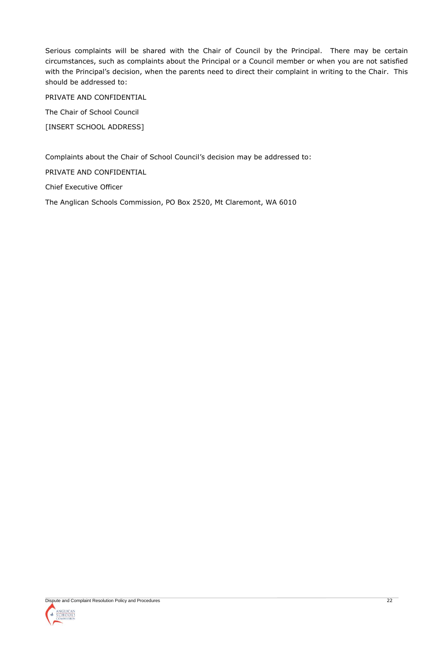Serious complaints will be shared with the Chair of Council by the Principal. There may be certain circumstances, such as complaints about the Principal or a Council member or when you are not satisfied with the Principal's decision, when the parents need to direct their complaint in writing to the Chair. This should be addressed to:

PRIVATE AND CONFIDENTIAL

The Chair of School Council

[INSERT SCHOOL ADDRESS]

Complaints about the Chair of School Council's decision may be addressed to:

PRIVATE AND CONFIDENTIAL

Chief Executive Officer

The Anglican Schools Commission, PO Box 2520, Mt Claremont, WA 6010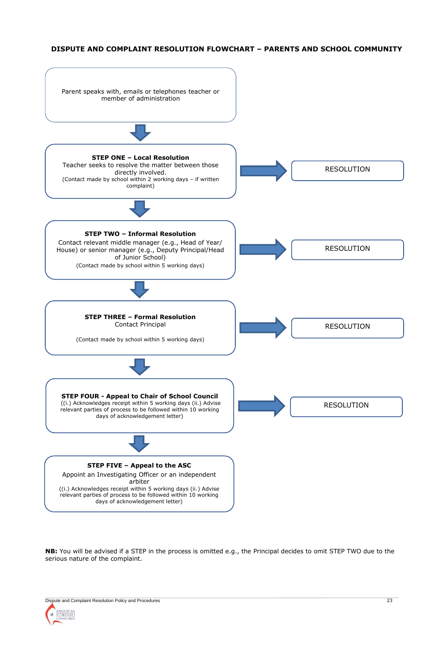#### **DISPUTE AND COMPLAINT RESOLUTION FLOWCHART – PARENTS AND SCHOOL COMMUNITY**



**NB:** You will be advised if a STEP in the process is omitted e.g., the Principal decides to omit STEP TWO due to the serious nature of the complaint.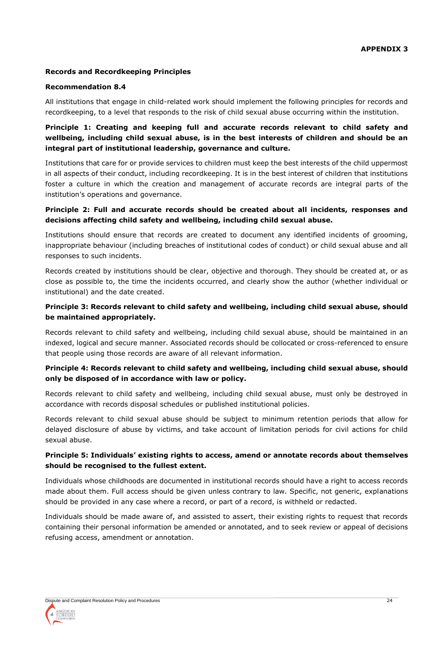## **Records and Recordkeeping Principles**

#### **Recommendation 8.4**

All institutions that engage in child-related work should implement the following principles for records and recordkeeping, to a level that responds to the risk of child sexual abuse occurring within the institution.

# **Principle 1: Creating and keeping full and accurate records relevant to child safety and wellbeing, including child sexual abuse, is in the best interests of children and should be an integral part of institutional leadership, governance and culture.**

Institutions that care for or provide services to children must keep the best interests of the child uppermost in all aspects of their conduct, including recordkeeping. It is in the best interest of children that institutions foster a culture in which the creation and management of accurate records are integral parts of the institution's operations and governance.

## **Principle 2: Full and accurate records should be created about all incidents, responses and decisions affecting child safety and wellbeing, including child sexual abuse.**

Institutions should ensure that records are created to document any identified incidents of grooming, inappropriate behaviour (including breaches of institutional codes of conduct) or child sexual abuse and all responses to such incidents.

Records created by institutions should be clear, objective and thorough. They should be created at, or as close as possible to, the time the incidents occurred, and clearly show the author (whether individual or institutional) and the date created.

## **Principle 3: Records relevant to child safety and wellbeing, including child sexual abuse, should be maintained appropriately.**

Records relevant to child safety and wellbeing, including child sexual abuse, should be maintained in an indexed, logical and secure manner. Associated records should be collocated or cross-referenced to ensure that people using those records are aware of all relevant information.

#### **Principle 4: Records relevant to child safety and wellbeing, including child sexual abuse, should only be disposed of in accordance with law or policy.**

Records relevant to child safety and wellbeing, including child sexual abuse, must only be destroyed in accordance with records disposal schedules or published institutional policies.

Records relevant to child sexual abuse should be subject to minimum retention periods that allow for delayed disclosure of abuse by victims, and take account of limitation periods for civil actions for child sexual abuse.

## **Principle 5: Individuals' existing rights to access, amend or annotate records about themselves should be recognised to the fullest extent.**

Individuals whose childhoods are documented in institutional records should have a right to access records made about them. Full access should be given unless contrary to law. Specific, not generic, explanations should be provided in any case where a record, or part of a record, is withheld or redacted.

Individuals should be made aware of, and assisted to assert, their existing rights to request that records containing their personal information be amended or annotated, and to seek review or appeal of decisions refusing access, amendment or annotation.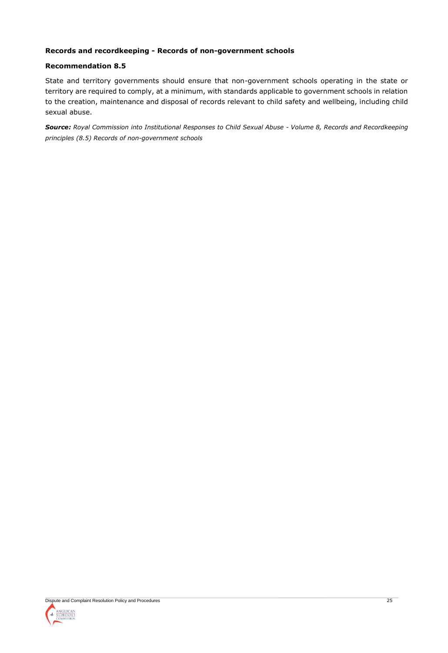# **Records and recordkeeping - Records of non-government schools**

# **Recommendation 8.5**

State and territory governments should ensure that non-government schools operating in the state or territory are required to comply, at a minimum, with standards applicable to government schools in relation to the creation, maintenance and disposal of records relevant to child safety and wellbeing, including child sexual abuse.

*Source: Royal Commission into Institutional Responses to Child Sexual Abuse - Volume 8, Records and Recordkeeping principles (8.5) Records of non-government schools*